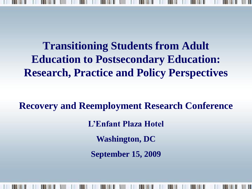**Research, Practice and Policy Perspectives Transitioning Students from Adult Education to Postsecondary Education:** 

 **September 15, 2009 Recovery and Reemployment Research Conference L'Enfant Plaza Hotel Washington, DC**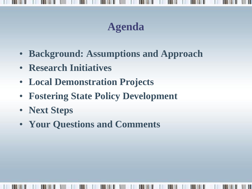### **Agenda**

- **Background: Assumptions and Approach**
- **Research Initiatives**
- **Local Demonstration Projects**
- **Fostering State Policy Development**
- **Next Steps**
- **Your Questions and Comments**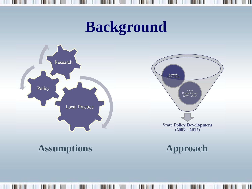## **Background**



ш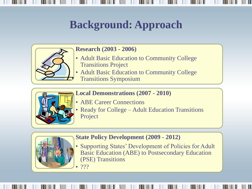### **Background: Approach**



#### **Research (2003 - 2006)**

- Adult Basic Education to Community College Transitions Project
- Transitions Symposium • Adult Basic Education to Community College



#### **Local Demonstrations (2007 - 2010)**

- ABE Career Connections
- Ready for College Adult Education Transitions Project



#### **State Policy Development (2009 - 2012)**

• Supporting States' Development of Policies for Adult Basic Education (ABE) to Postsecondary Education (PSE) Transitions

 $222$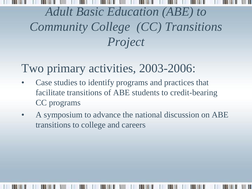## *Project Adult Basic Education (ABE) to Community College (CC) Transitions*

### Two primary activities, 2003-2006:

- CC programs • Case studies to identify programs and practices that facilitate transitions of ABE students to credit-bearing
- A symposium to advance the national discussion on ABE transitions to college and careers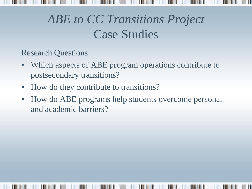## *ABE to CC Transitions Project*  Case Studies

Research Questions

- Which aspects of ABE program operations contribute to postsecondary transitions?
- How do they contribute to transitions?
- and academic barriers? • How do ABE programs help students overcome personal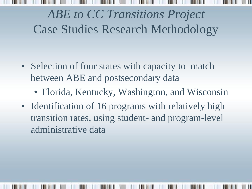# *ABE to CC Transitions Project* Case Studies Research Methodology

- Selection of four states with capacity to match between ABE and postsecondary data
	- Florida, Kentucky, Washington, and Wisconsin
- Florida, Kentucky, Washington, and Wisconsin<br>• Identification of 16 programs with relatively high transition rates, using student- and program-level administrative data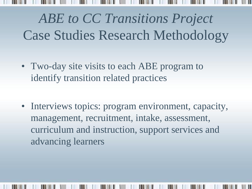# *ABE to CC Transitions Project* Case Studies Research Methodology

- • Two-day site visits to each ABE program to identify transition related practices
- Interviews topics: program environment, capacity, management, recruitment, intake, assessment, curriculum and instruction, support services and advancing learners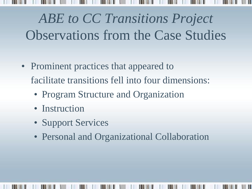# *ABE to CC Transitions Project* Observations from the Case Studies

- facilitate transitions fell into four dimensions: • Prominent practices that appeared to
	- Program Structure and Organization
	- Instruction
	- Support Services
	- Personal and Organizational Collaboration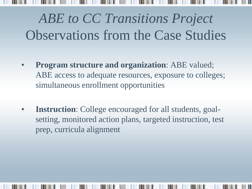# *ABE to CC Transitions Project* Observations from the Case Studies

- • **Program structure and organization**: ABE valued; ABE access to adequate resources, exposure to colleges; simultaneous enrollment opportunities
- prep, curricula alignment • **Instruction**: College encouraged for all students, goalsetting, monitored action plans, targeted instruction, test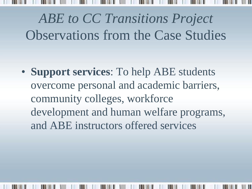*ABE to CC Transitions Project* Observations from the Case Studies

• **Support services**: To help ABE students overcome personal and academic barriers, community colleges, workforce development and human welfare programs, and ABE instructors offered services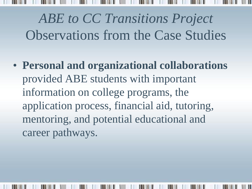*ABE to CC Transitions Project*  Observations from the Case Studies • **Personal and organizational collaborations**

 information on college programs, the mentoring, and potential educational and provided ABE students with important application process, financial aid, tutoring, career pathways.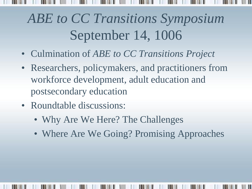# *ABE to CC Transitions Symposium*  September 14, 1006

- • Culmination of *ABE to CC Transitions Project*
- postsecondary education • Researchers, policymakers, and practitioners from workforce development, adult education and
- Roundtable discussions:
	- Why Are We Here? The Challenges
	- Where Are We Going? Promising Approaches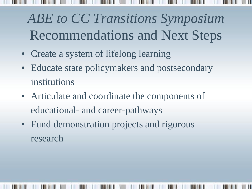# *ABE to CC Transitions Symposium* Recommendations and Next Steps

- • Create a system of lifelong learning
- Educate state policymakers and postsecondary institutions
- • Articulate and coordinate the components of educational- and career-pathways
- Fund demonstration projects and rigorous research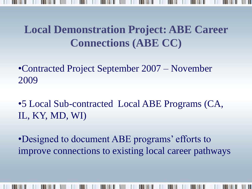#### **Local Demonstration Project: ABE Career Connections (ABE CC)**

 •Contracted Project September 2007 – November 2009

 •5 Local Sub-contracted Local ABE Programs (CA, IL, KY, MD, WI)

 •Designed to document ABE programs' efforts to improve connections to existing local career pathways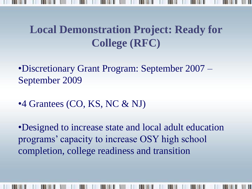#### **Local Demonstration Project: Ready for College (RFC)**

 •Discretionary Grant Program: September 2007 – September 2009

•4 Grantees (CO, KS, NC & NJ)

 programs' capacity to increase OSY high school •Designed to increase state and local adult education completion, college readiness and transition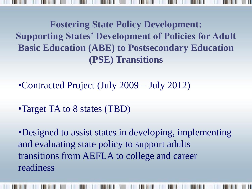**Fostering State Policy Development: Supporting States' Development of Policies for Adult Basic Education (ABE) to Postsecondary Education (PSE) Transitions** 

•Contracted Project (July 2009 – July 2012)

•Target TA to 8 states (TBD)

 transitions from AEFLA to college and career •Designed to assist states in developing, implementing and evaluating state policy to support adults readiness